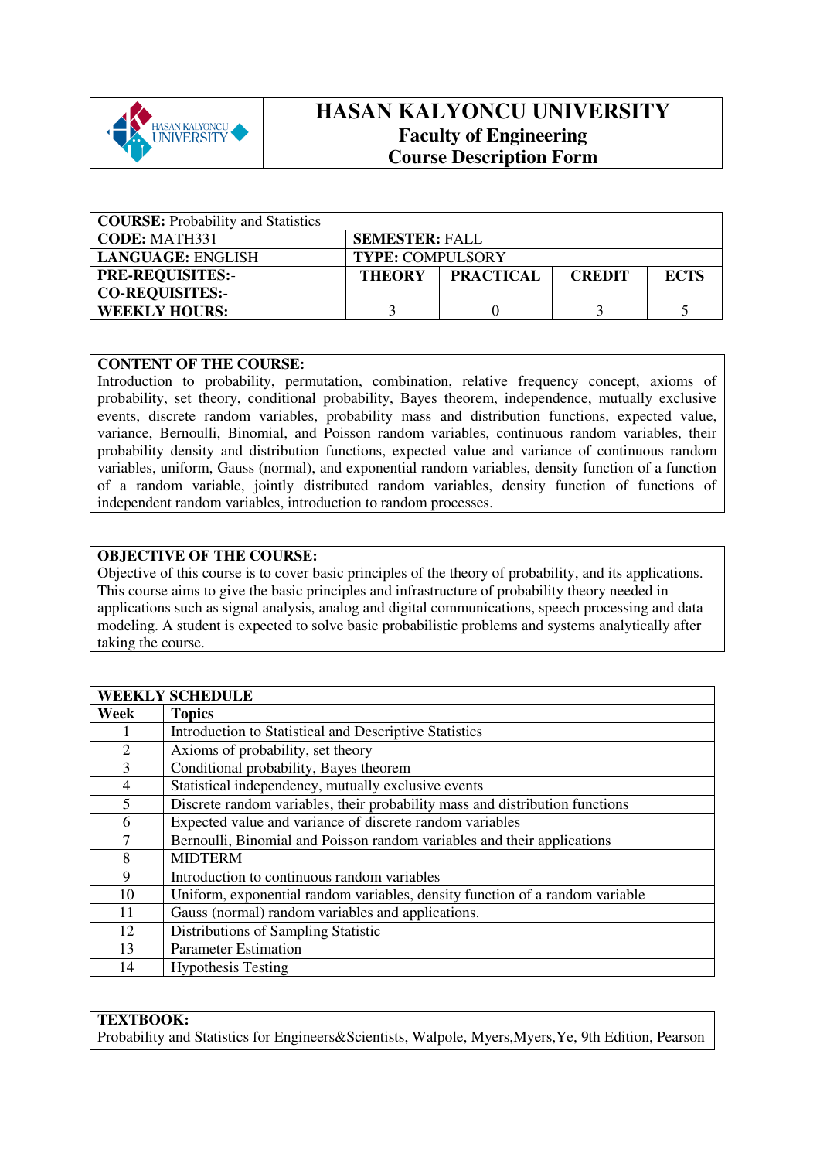

# **HASAN KALYONCU UNIVERSITY Faculty of Engineering Course Description Form**

| <b>COURSE:</b> Probability and Statistics |                         |                  |               |             |
|-------------------------------------------|-------------------------|------------------|---------------|-------------|
| <b>CODE: MATH331</b>                      | <b>SEMESTER: FALL</b>   |                  |               |             |
| LANGUAGE: ENGLISH                         | <b>TYPE: COMPULSORY</b> |                  |               |             |
| <b>PRE-REQUISITES:-</b>                   | <b>THEORY</b>           | <b>PRACTICAL</b> | <b>CREDIT</b> | <b>ECTS</b> |
| <b>CO-REQUISITES:-</b>                    |                         |                  |               |             |
| <b>WEEKLY HOURS:</b>                      |                         |                  |               |             |

## **CONTENT OF THE COURSE:**

Introduction to probability, permutation, combination, relative frequency concept, axioms of probability, set theory, conditional probability, Bayes theorem, independence, mutually exclusive events, discrete random variables, probability mass and distribution functions, expected value, variance, Bernoulli, Binomial, and Poisson random variables, continuous random variables, their probability density and distribution functions, expected value and variance of continuous random variables, uniform, Gauss (normal), and exponential random variables, density function of a function of a random variable, jointly distributed random variables, density function of functions of independent random variables, introduction to random processes.

## **OBJECTIVE OF THE COURSE:**

Objective of this course is to cover basic principles of the theory of probability, and its applications. This course aims to give the basic principles and infrastructure of probability theory needed in applications such as signal analysis, analog and digital communications, speech processing and data modeling. A student is expected to solve basic probabilistic problems and systems analytically after taking the course.

| <b>WEEKLY SCHEDULE</b> |                                                                              |  |  |  |
|------------------------|------------------------------------------------------------------------------|--|--|--|
| Week                   | <b>Topics</b>                                                                |  |  |  |
|                        | Introduction to Statistical and Descriptive Statistics                       |  |  |  |
| 2                      | Axioms of probability, set theory                                            |  |  |  |
| 3                      | Conditional probability, Bayes theorem                                       |  |  |  |
| 4                      | Statistical independency, mutually exclusive events                          |  |  |  |
| 5                      | Discrete random variables, their probability mass and distribution functions |  |  |  |
| 6                      | Expected value and variance of discrete random variables                     |  |  |  |
| 7                      | Bernoulli, Binomial and Poisson random variables and their applications      |  |  |  |
| 8                      | <b>MIDTERM</b>                                                               |  |  |  |
| 9                      | Introduction to continuous random variables                                  |  |  |  |
| 10                     | Uniform, exponential random variables, density function of a random variable |  |  |  |
| 11                     | Gauss (normal) random variables and applications.                            |  |  |  |
| 12                     | Distributions of Sampling Statistic                                          |  |  |  |
| 13                     | <b>Parameter Estimation</b>                                                  |  |  |  |
| 14                     | <b>Hypothesis Testing</b>                                                    |  |  |  |

## **TEXTBOOK:**

Probability and Statistics for Engineers&Scientists, Walpole, Myers, Myers, Ye, 9th Edition, Pearson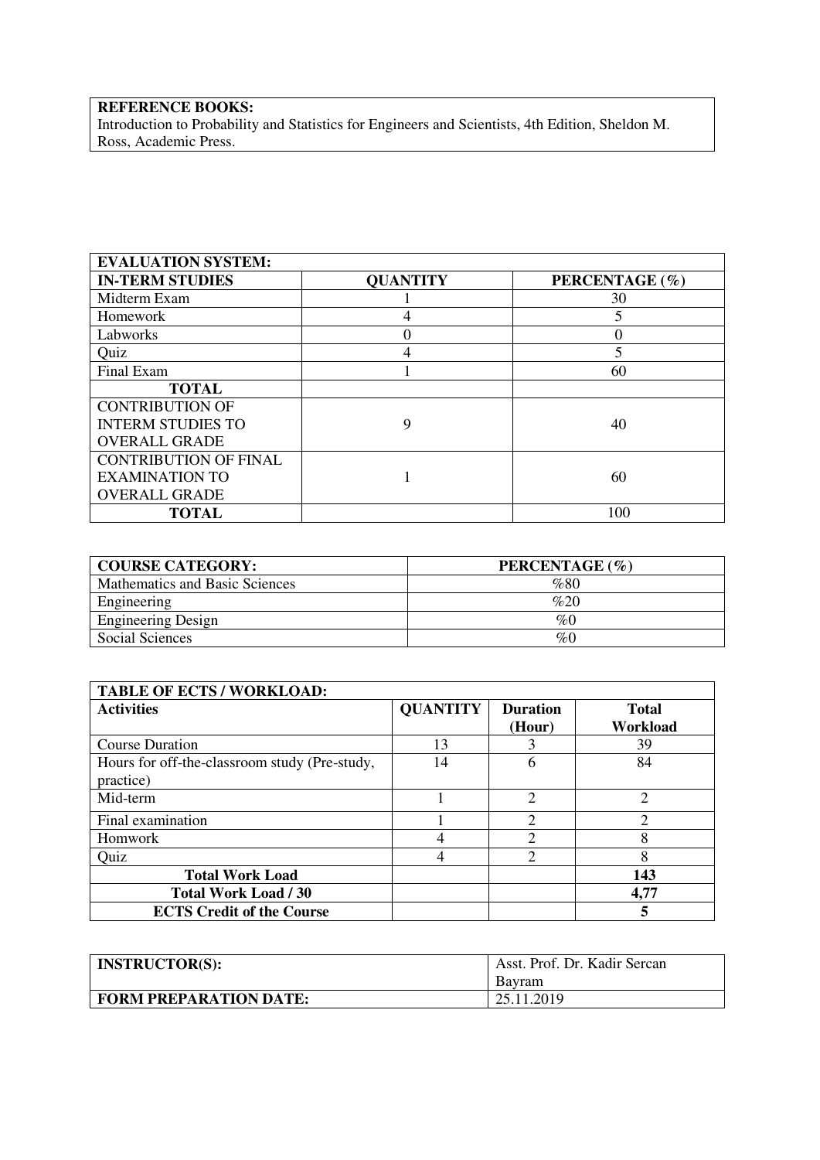## **REFERENCE BOOKS:**

Introduction to Probability and Statistics for Engineers and Scientists, 4th Edition, Sheldon M. Ross, Academic Press.

| <b>EVALUATION SYSTEM:</b>    |                 |                |
|------------------------------|-----------------|----------------|
| <b>IN-TERM STUDIES</b>       | <b>QUANTITY</b> | PERCENTAGE (%) |
| Midterm Exam                 |                 | 30             |
| Homework                     | 4               | 5              |
| Labworks                     |                 |                |
| Quiz                         |                 | 5              |
| Final Exam                   |                 | 60             |
| <b>TOTAL</b>                 |                 |                |
| <b>CONTRIBUTION OF</b>       |                 |                |
| <b>INTERM STUDIES TO</b>     | 9               | 40             |
| <b>OVERALL GRADE</b>         |                 |                |
| <b>CONTRIBUTION OF FINAL</b> |                 |                |
| <b>EXAMINATION TO</b>        |                 | 60             |
| <b>OVERALL GRADE</b>         |                 |                |
| <b>TOTAL</b>                 |                 | 100            |

| <b>COURSE CATEGORY:</b>        | PERCENTAGE (%) |
|--------------------------------|----------------|
| Mathematics and Basic Sciences | %80            |
| Engineering                    | %20            |
| <b>Engineering Design</b>      | $\%$           |
| Social Sciences                | %0             |

| <b>TABLE OF ECTS / WORKLOAD:</b>              |                 |                 |                               |  |  |
|-----------------------------------------------|-----------------|-----------------|-------------------------------|--|--|
| <b>Activities</b>                             | <b>QUANTITY</b> | <b>Duration</b> | <b>Total</b>                  |  |  |
|                                               |                 | (Hour)          | Workload                      |  |  |
| <b>Course Duration</b>                        | 13              |                 | 39                            |  |  |
| Hours for off-the-classroom study (Pre-study, | 14              | 6               | 84                            |  |  |
| practice)                                     |                 |                 |                               |  |  |
| Mid-term                                      |                 | $\overline{2}$  | $\mathfrak{D}_{\mathfrak{p}}$ |  |  |
| Final examination                             |                 | C               | $\mathcal{D}_{\mathcal{A}}$   |  |  |
| Homwork                                       |                 | ↑               | 8                             |  |  |
| Quiz                                          | 4               | ↑               | 8                             |  |  |
| <b>Total Work Load</b>                        |                 |                 | 143                           |  |  |
| <b>Total Work Load / 30</b>                   |                 |                 | 4,77                          |  |  |
| <b>ECTS Credit of the Course</b>              |                 |                 |                               |  |  |

| <b>INSTRUCTOR(S):</b>         | Asst. Prof. Dr. Kadir Sercan |
|-------------------------------|------------------------------|
|                               | Bavram                       |
| <b>FORM PREPARATION DATE:</b> | 25.11.2019                   |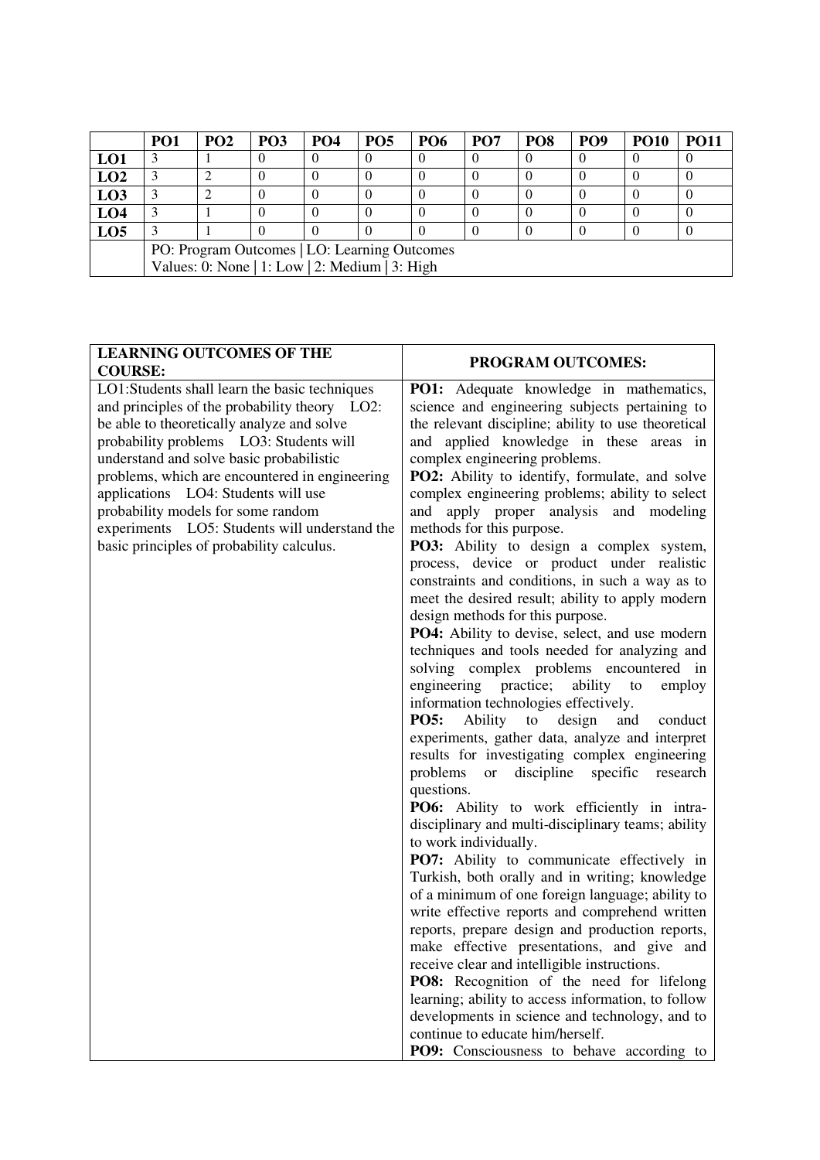|                                                | PO <sub>1</sub> | PO <sub>2</sub> | PO <sub>3</sub> | <b>PO4</b> | PO <sub>5</sub> | <b>PO6</b> | PO <sub>7</sub> | PO <sub>8</sub> | PO <sub>9</sub> | <b>PO10</b> | <b>PO11</b> |
|------------------------------------------------|-----------------|-----------------|-----------------|------------|-----------------|------------|-----------------|-----------------|-----------------|-------------|-------------|
| LO1                                            |                 |                 |                 |            |                 |            |                 |                 |                 |             |             |
| LO2                                            |                 |                 |                 |            |                 |            |                 |                 |                 |             |             |
| L <sub>03</sub>                                |                 |                 |                 |            |                 |            |                 |                 |                 |             |             |
| LO <sub>4</sub>                                |                 |                 |                 |            |                 |            |                 |                 |                 |             |             |
| LO <sub>5</sub>                                |                 |                 |                 |            |                 |            |                 |                 |                 |             |             |
| PO: Program Outcomes   LO: Learning Outcomes   |                 |                 |                 |            |                 |            |                 |                 |                 |             |             |
| Values: 0: None   1: Low   2: Medium   3: High |                 |                 |                 |            |                 |            |                 |                 |                 |             |             |

| <b>LEARNING OUTCOMES OF THE</b><br><b>COURSE:</b>                                                                                                                                                                                                                                                                                                                                                                                                                | PROGRAM OUTCOMES:                                                                                                                                                                                                                                                                                                                                                                                                                                                                                                                                                                                                                                                                                                                                                                                                                                                                                                                                                                                                                                                                                                                                                                                                                                                                                                                                                                                                                                                                                                                                                                                                                                                                                                                                                                                                                                            |
|------------------------------------------------------------------------------------------------------------------------------------------------------------------------------------------------------------------------------------------------------------------------------------------------------------------------------------------------------------------------------------------------------------------------------------------------------------------|--------------------------------------------------------------------------------------------------------------------------------------------------------------------------------------------------------------------------------------------------------------------------------------------------------------------------------------------------------------------------------------------------------------------------------------------------------------------------------------------------------------------------------------------------------------------------------------------------------------------------------------------------------------------------------------------------------------------------------------------------------------------------------------------------------------------------------------------------------------------------------------------------------------------------------------------------------------------------------------------------------------------------------------------------------------------------------------------------------------------------------------------------------------------------------------------------------------------------------------------------------------------------------------------------------------------------------------------------------------------------------------------------------------------------------------------------------------------------------------------------------------------------------------------------------------------------------------------------------------------------------------------------------------------------------------------------------------------------------------------------------------------------------------------------------------------------------------------------------------|
| LO1:Students shall learn the basic techniques<br>and principles of the probability theory LO2:<br>be able to theoretically analyze and solve<br>probability problems LO3: Students will<br>understand and solve basic probabilistic<br>problems, which are encountered in engineering<br>applications LO4: Students will use<br>probability models for some random<br>experiments LO5: Students will understand the<br>basic principles of probability calculus. | <b>PO1:</b> Adequate knowledge in mathematics,<br>science and engineering subjects pertaining to<br>the relevant discipline; ability to use theoretical<br>and applied knowledge in these areas in<br>complex engineering problems.<br>PO2: Ability to identify, formulate, and solve<br>complex engineering problems; ability to select<br>apply proper analysis and modeling<br>and<br>methods for this purpose.<br>PO3: Ability to design a complex system,<br>process, device or product under realistic<br>constraints and conditions, in such a way as to<br>meet the desired result; ability to apply modern<br>design methods for this purpose.<br>PO4: Ability to devise, select, and use modern<br>techniques and tools needed for analyzing and<br>solving complex problems encountered in<br>engineering practice;<br>ability<br>to<br>employ<br>information technologies effectively.<br>Ability to<br><b>PO5:</b><br>design<br>and<br>conduct<br>experiments, gather data, analyze and interpret<br>results for investigating complex engineering<br>problems<br>discipline<br>specific research<br>or<br>questions.<br>PO6: Ability to work efficiently in intra-<br>disciplinary and multi-disciplinary teams; ability<br>to work individually.<br>PO7: Ability to communicate effectively in<br>Turkish, both orally and in writing; knowledge<br>of a minimum of one foreign language; ability to<br>write effective reports and comprehend written<br>reports, prepare design and production reports,<br>make effective presentations, and give and<br>receive clear and intelligible instructions.<br>PO8: Recognition of the need for lifelong<br>learning; ability to access information, to follow<br>developments in science and technology, and to<br>continue to educate him/herself.<br>PO9: Consciousness to behave according to |